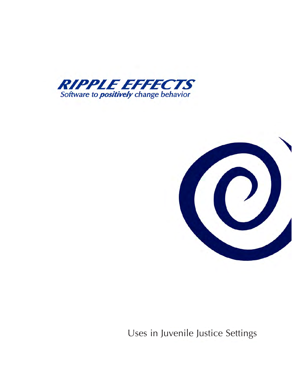



Uses in Juvenile Justice Settings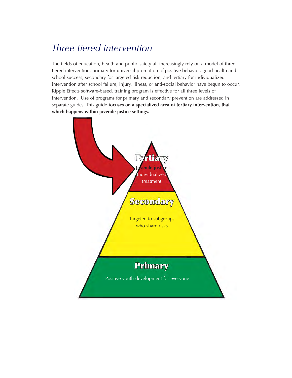# *Three tiered intervention*

The fields of education, health and public safety all increasingly rely on a model of three tiered intervention: primary for universal promotion of positive behavior, good health and school success; secondary for targeted risk reduction, and tertiary for individualized intervention after school failure, injury, illness, or anti-social behavior have begun to occur. Ripple Effects software-based, training program is effective for all three levels of intervention. Use of programs for primary and secondary prevention are addressed in separate guides. This guide **focuses on a specialized area of tertiary intervention, that which happens within juvenile justice settings.**

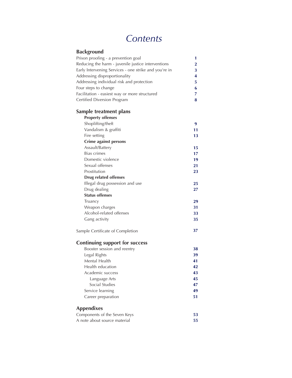# *Contents*

| Background                                            |          |
|-------------------------------------------------------|----------|
| Prison proofing - a prevention goal                   | 1        |
| Reducing the harm - juvenile justice interventions    | $\bf{2}$ |
| Early Intervening Services - one strike and you're in | 3        |
| Addressing disproportionality                         | 4        |
| Addressing individual risk and protection             | 5        |
| Four steps to change                                  | 6        |
| Facilitation - easiest way or more structured         | 7        |
| Certified Diversion Program                           | 8        |
| Sample treatment plans                                |          |
| <b>Property offenses</b>                              |          |
| Shoplifting/theft                                     | 9        |
| Vandalism & graffiti                                  | 11       |
| Fire setting                                          | 13       |
| <b>Crime against persons</b>                          |          |
| Assault/Battery                                       | 15       |
| <b>Bias crimes</b>                                    | 17       |
| Domestic violence                                     | 19       |
| Sexual offenses                                       | 21       |
| Prostitution                                          | 23       |
| <b>Drug related offenses</b>                          |          |
| Illegal drug possession and use                       | 25       |
| Drug dealing                                          | 27       |
| <b>Status offenses</b>                                |          |
| Truancy                                               | 29       |
| Weapon charges                                        | 31       |
| Alcohol-related offenses                              | 33       |
| Gang activity                                         | 35       |
| Sample Certificate of Completion                      | 37       |
| <b>Continuing support for success</b>                 |          |
| Booster session and reentry                           | 38       |
| Legal Rights                                          | 39       |
| Mental Health                                         | 41       |
| Health education                                      | 42       |
| Academic success                                      | 43       |
| Language Arts                                         | 45       |
| Social Studies                                        | 47       |
| Service learning                                      | 49       |
| Career preparation                                    | 51       |
| Appendixes                                            |          |
| Components of the Seven Keys                          | 53       |
| A note about source material                          | 55       |
|                                                       |          |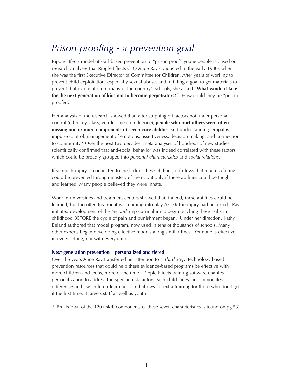# *Prison proofing - a prevention goal*

Ripple Effects model of skill-based prevention to "prison proof" young people is based on research analyses that Ripple Effects CEO Alice Ray conducted in the early 1980s when she was the first Executive Director of Committee for Children. After years of working to prevent child exploitation, especially sexual abuse, and fulfilling a goal to get materials to prevent that exploitation in many of the country's schools, she asked **"What would it take for the next generation of kids not to become perpetrators?"** How could they be "prison proofed?"

Her analysis of the research showed that, after stripping off factors not under personal control (ethnicity, class, gender, media influence), **people who hurt others were often missing one or more components of seven core abilities**: self-understanding, empathy, impulse control, management of emotions, assertiveness, decision-making, and connection to community.\* Over the next two decades, meta-analyses of hundreds of new studies scientifically confirmed that anti-social behavior was indeed correlated with these factors, which could be broadly grouped into *personal characteristics* and *social relations*.

If so much injury is connected to the lack of these abilities, it follows that much suffering could be prevented through mastery of them; but only if these abilities could be taught and learned. Many people believed they were innate.

Work in universities and treatment centers showed that, indeed, these abilities could be learned, but too often treatment was coming into play AFTER the injury had occurred. Ray initiated development of the *Second Ste*p curriculum to begin teaching these skills in childhood BEFORE the cycle of pain and punishment began. Under her direction, Kathy Beland authored that model program, now used in tens of thousands of schools. Many other experts began developing effective models along similar lines. Yet none is effective in every setting, nor with every child.

### **Next-generation prevention – personalized and tiered**

\_\_\_\_\_\_\_\_\_\_\_\_\_\_

Over the years Alice Ray transferred her attention to a *Third Step*: technology-based prevention resources that could help these evidence-based programs be effective with more children and teens, more of the time. Ripple Effects training software enables personalization to address the specific risk factors each child faces, accommodates differences in how children learn best, and allows for extra training for those who don't get it the first time. It targets staff as well as youth.

<sup>\*</sup> (Breakdown of the 120+ skill components of these seven characteristics is found on pg.53)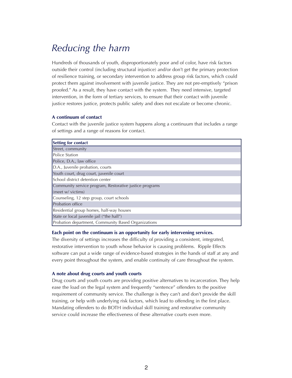# *Reducing the harm*

Hundreds of thousands of youth, disproportionately poor and of color, have risk factors outside their control (including structural injustice) and/or don't get the primary protection of resilience training, or secondary intervention to address group risk factors, which could protect them against involvement with juvenile justice. They are not pre-emptively "prison proofed." As a result, they have contact with the system. They need intensive, targeted intervention, in the form of tertiary services, to ensure that their contact with juvenile justice restores justice, protects public safety and does not escalate or become chronic.

### **A continuum of contact**

Contact with the juvenile justice system happens along a continuum that includes a range of settings and a range of reasons for contact.

| Setting for contact                                     |
|---------------------------------------------------------|
| Street, community                                       |
| <b>Police Station</b>                                   |
| Police, D.A., law office                                |
| D.A., Juvenile probation, courts                        |
| Youth court, drug court, juvenile court                 |
| School district detention center                        |
| Community service program, Restorative justice programs |
| (meet w/victims)                                        |
| Counseling, 12 step group, court schools                |
| <b>Probation office</b>                                 |
| Residential group homes, half-way houses                |
| State or local juvenile jail ("the hall")               |
| Probation department, Community Based Organizations     |

### **Each point on the continuum is an opportunity for early intervening services.**

The diversity of settings increases the difficulty of providing a consistent, integrated, restorative intervention to youth whose behavior is causing problems. Ripple Effects software can put a wide range of evidence-based strategies in the hands of staff at any and every point throughout the system, and enable continuity of care throughout the system.

### **A note about drug courts and youth courts**

Drug courts and youth courts are providing positive alternatives to incarceration. They help ease the load on the legal system and frequently "sentence" offenders to the positive requirement of community service. The challenge is they can't and don't provide the skill training, or help with underlying risk factors, which lead to offending in the first place. Mandating offenders to do BOTH individual skill training and restorative community service could increase the effectiveness of these alternative courts even more.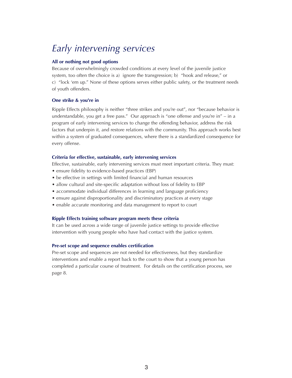# *Early intervening services*

## **All or nothing not good options**

Because of overwhelmingly crowded conditions at every level of the juvenile justice system, too often the choice is a) ignore the transgression; b) "hook and release," or c) "lock 'em up." None of these options serves either public safety, or the treatment needs of youth offenders.

## **One strike & you're in**

Ripple Effects philosophy is neither "three strikes and you're out", nor "because behavior is understandable, you get a free pass." Our approach is "one offense and you're in" – in a program of early intervening services to change the offending behavior, address the risk factors that underpin it, and restore relations with the community. This approach works best within a system of graduated consequences, where there is a standardized consequence for every offense.

## **Criteria for effective, sustainable, early intervening services**

Effective, sustainable, early intervening services must meet important criteria. They must:

- ensure fidelity to evidence-based practices (EBP)
- be effective in settings with limited financial and human resources
- allow cultural and site-specific adaptation without loss of fidelity to EBP
- accommodate individual differences in learning and language proficiency
- ensure against disproportionality and discriminatory practices at every stage
- enable accurate monitoring and data management to report to court

## **Ripple Effects training software program meets these criteria**

It can be used across a wide range of juvenile justice settings to provide effective intervention with young people who have had contact with the justice system.

## **Pre-set scope and sequence enables certification**

Pre-set scope and sequences are not needed for effectiveness, but they standardize interventions and enable a report back to the court to show that a young person has completed a particular course of treatment. For details on the certification process, see page 8.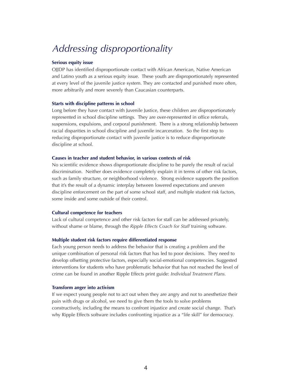# *Addressing disproportionality*

### **Serious equity issue**

OJJDP has identified disproportionate contact with African American, Native American and Latino youth as a serious equity issue. These youth are disproportionately represented at every level of the juvenile justice system. They are contacted and punished more often, more arbitrarily and more severely than Caucasian counterparts.

## **Starts with discipline patterns in school**

Long before they have contact with Juvenile Justice, these children are disproportionately represented in school discipline settings. They are over-represented in office referrals, suspensions, expulsions, and corporal punishment. There is a strong relationship between racial disparities in school discipline and juvenile incarceration. So the first step to reducing disproportionate contact with juvenile justice is to reduce disproportionate discipline at school.

### **Causes in teacher and student behavior, in various contexts of risk**

No scientific evidence shows disproportionate discipline to be purely the result of racial discrimination. Neither does evidence completely explain it in terms of other risk factors, such as family structure, or neighborhood violence. Strong evidence supports the position that it's the result of a dynamic interplay between lowered expectations and uneven discipline enforcement on the part of some school staff, and multiple student risk factors, some inside and some outside of their control.

### **Cultural competence for teachers**

Lack of cultural competence and other risk factors for staff can be addressed privately, without shame or blame, through the *Ripple Effects Coach for Staff* training software.

### **Multiple student risk factors require differentiated response**

Each young person needs to address the behavior that is creating a problem and the unique combination of personal risk factors that has led to poor decisions. They need to develop offsetting protective factors, especially social-emotional competencies. Suggested interventions for students who have problematic behavior that has not reached the level of crime can be found in another Ripple Effects print guide: *Individual Treatment Plans.*

#### **Transform anger into activism**

If we expect young people not to act out when they are angry and not to anesthetize their pain with drugs or alcohol, we need to give them the tools to solve problems constructively, including the means to confront injustice and create social change. That's why Ripple Effects software includes confronting injustice as a "life skill" for democracy.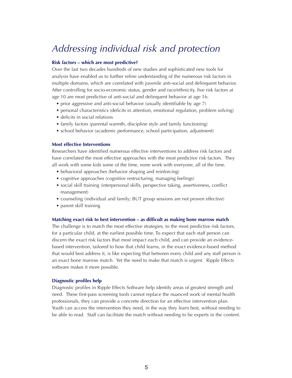## *Addressing individual risk and protection*

### **Risk factors – which are most predictive?**

Over the last two decades hundreds of new studies and sophisticated new tools for analysis have enabled us to further refine understanding of the numerous risk factors in multiple domains, which are correlated with juvenile anti-social and delinquent behavior. After controlling for socio-economic status, gender and race/ethnicity, five risk factors at age 10 are most predictive of anti-social and delinquent behavior at age 16:

- prior aggressive and anti-social behavior (usually identifiable by age 7)
- personal characteristics (deficits in attention, emotional regulation, problem solving)
- deficits in social relations
- family factors (parental warmth, discipline style and family functioning)
- school behavior (academic performance, school participation, adjustment)

### **Most effective Interventions**

Researchers have identified numerous effective interventions to address risk factors and have correlated the most effective approaches with the most predictive risk factors. They all work with some kids some of the time, none work with everyone, all of the time.

- behavioral approaches (behavior shaping and reinforcing)
- cognitive approaches (cognitive restructuring, managing feelings)
- social skill training (interpersonal skills, perspective taking, assertiveness, conflict management)
- counseling (individual and family; BUT group sessions are not proven effective)
- parent skill training

### **Matching exact risk to best intervention – as difficult as making bone marrow match**

The challenge is to match the most effective strategies, to the most predictive risk factors, for a particular child, at the earliest possible time. To expect that each staff person can discern the exact risk factors that most impact each child, and can provide an evidencebased intervention, tailored to how that child learns, in the exact evidence-based method that would best address it, is like expecting that between every child and any staff person is an exact bone marrow match. Yet the need to make that match is urgent. Ripple Effects software makes it more possible.

### **Diagnostic profiles help**

Diagnostic profiles in Ripple Effects Software help identify areas of greatest strength and need. These first-pass screening tools cannot replace the nuanced work of mental health professionals, they can provide a concrete direction for an effective intervention plan. Youth can access the intervention they need, in the way they learn best, without needing to be able to read. Staff can facilitate the match without needing to be experts in the content.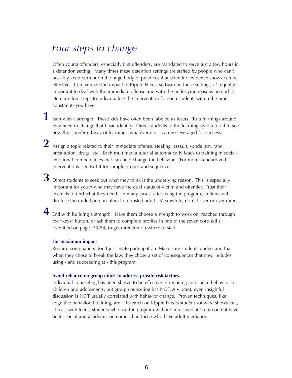## *Four steps to change*

Often young offenders, especially first offenders, are mandated to serve just a few hours in a detention setting. Many times these detention settings are staffed by people who can't possibly keep current on the huge body of practices that scientific evidence shows can be effective. To maximize the impact of Ripple Effects software in these settings, it's equally important to deal with the immediate offense and with the underlying reasons behind it. Here are four steps to individualize the intervention for each student, within the time constraints you have.

Start with a strength. These kids have often been labeled as losers. To turn things around **1** they need to change that basic identity. Direct students to the learning style tutorial to see how their preferred way of learning - whatever it is - can be leveraged for success.

Assign a topic related to their immediate offense: stealing, assault, vandalism, rape, **2** prostitution, drugs, etc. Each multimedia tutorial automatically leads to training in socialemotional competencies that can help change the behavior. (For more standardized interventions, see Part II for sample scopes and sequences.

Direct students to seek out what they think is the underlying reason. This is especially **3** important for youth who may have the dual status of victim and offender. Trust their instincts to find what they need. In many cases, after using the program, students will disclose the underlying problem to a trusted adult. Meanwhile, don't hover or over-direct.

End with building a strength. Have them choose a strength to work on, reached through **4**the "keys" button, or ask them to complete profiles in one of the seven core skills, identified on pages 53-54, to get direction on where to start.

### **For maximum impact**

Require compliance; don't just invite participation. Make sure students understand that when they chose to break the law, they chose a set of consequences that now includes using - and succeeding at - this program.

#### **Avoid reliance on group effort to address private risk factors**

Individual counseling has been shown to be effective in reducing anti-social behavior in children and adolescents, but group counseling has NOT. A vibrant, even insightful discussion is NOT usually correlated with behavior change. Proven techniques, like cognitive behavioral training, are. Research on Ripple Effects student software shows that, at least with teens, students who use the program without adult mediation of content have better social and academic outcomes than those who have adult mediation.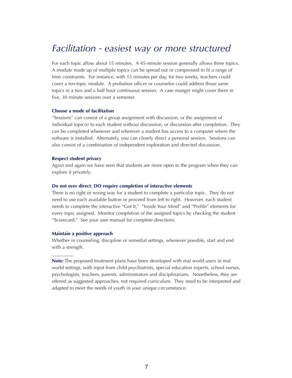## *Facilitation - easiest way or more structured*

For each topic allow about 15 minutes. A 45-minute session generally allows three topics. A module made up of multiple topics can be spread out or compressed to fit a range of time constraints. For instance, with 15 minutes per day, for two weeks, teachers could cover a ten-topic module. A probation officer or counselor could address those same topics in a two and a half hour continuous session. A case manger might cover them in five, 30 minute sessions over a semester.

#### **Choose a mode of facilitation**

"Sessions" can consist of a group assignment with discussion, or the assignment of individual topic(s) to each student without discussion, or discussion after completion. They can be completed whenever and wherever a student has access to a computer where the software is installed. Alternately, you can closely direct a personal session. Sessions can also consist of a combination of independent exploration and directed discussion.

### **Respect student privacy**

Again and again we have seen that students are more open to the program when they can explore it privately.

### **Do not over direct**; **DO require completion of interactive elements**

There is no right or wrong way for a student to complete a particular topic. They do not need to use each available button or proceed from left to right. However, each student needs to complete the interactive "Got It," "Inside Your Mind" and "Profile" elements for every topic assigned. Monitor completion of the assigned topics by checking the student "Scorecard." See your user manual for complete directions.

### **Maintain a positive approach**

 $\overline{\phantom{a}}$ 

Whether in counseling, discipline or remedial settings, whenever possible, start and end with a strength.

**Note:** The proposed treatment plans have been developed with real world users in real world settings, with input from child psychiatrists, special education experts, school nurses, psychologists, teachers, parents, administrators and disciplinarians. Nonetheless, they are offered as suggested approaches, not required curriculum. They need to be interpreted and adapted to meet the needs of youth in your unique circumstance.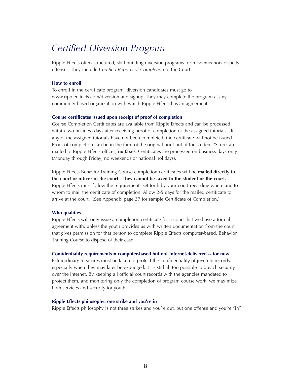## *Certified Diversion Program*

Ripple Effects offers structured, skill building diversion programs for misdemeanors or petty offenses. They include C*ertified Reports of Completion* to the Court.

#### **How to enroll**

To enroll in the certificate program, diversion candidates must go to www.rippleeffects.com/diversion and signup. They may complete the program at any community-based organization with which Ripple Effects has an agreement.

#### **Course certificates issued upon receipt of proof of completion**

Course Completion Certificates are available from Ripple Effects and can be processed within two business days after receiving proof of completion of the assigned tutorials. If any of the assigned tutorials have not been completed, the certificate will not be issued. Proof of completion can be in the form of the original print out of the student "Scorecard", mailed to Ripple Effects offices; **no faxes.** Certificates are processed on business days only (Monday through Friday; no weekends or national holidays).

Ripple Effects Behavior Training Course completion certificates will be **mailed directly to the court or officer of the court**. **They cannot be faxed to the student or the court.** Ripple Effects must follow the requirements set forth by your court regarding where and to whom to mail the certificate of completion. Allow 2-5 days for the mailed certificate to arrive at the court. (See Appendix page 37 for sample Certificate of Completion.)

#### **Who qualifies**

Ripple Effects will only issue a completion certificate for a court that we have a formal agreement with, unless the youth provides us with written documentation from the court that gives permission for that person to complete Ripple Effects computer-based, Behavior Training Course to dispose of their case.

#### **Confidentiality requirements = computer-based but not Internet-delivered -- for now**

Extraordinary measures must be taken to protect the confidentiality of juvenile records, especially when they may later be expunged. It is still all too possible to breach security over the Internet. By keeping all official court records with the agencies mandated to protect them, and monitoring only the completion of program course work, we maximize both services and security for youth.

#### **Ripple Effects philosophy: one strike and you're in**

Ripple Effects philosophy is not three strikes and you're out, but one offense and you're "in"